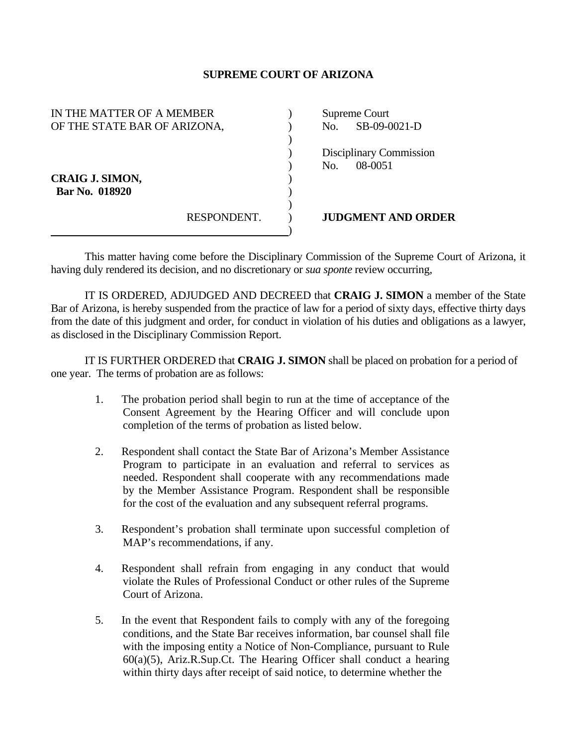## **SUPREME COURT OF ARIZONA**

| IN THE MATTER OF A MEMBER    |             | Supreme Court |                           |
|------------------------------|-------------|---------------|---------------------------|
| OF THE STATE BAR OF ARIZONA, |             | No.           | SB-09-0021-D              |
|                              |             |               |                           |
|                              |             |               | Disciplinary Commission   |
|                              |             | No.           | 08-0051                   |
| <b>CRAIG J. SIMON,</b>       |             |               |                           |
| Bar No. 018920               |             |               |                           |
|                              |             |               |                           |
|                              | RESPONDENT. |               | <b>JUDGMENT AND ORDER</b> |
|                              |             |               |                           |

 This matter having come before the Disciplinary Commission of the Supreme Court of Arizona, it having duly rendered its decision, and no discretionary or *sua sponte* review occurring,

 IT IS ORDERED, ADJUDGED AND DECREED that **CRAIG J. SIMON** a member of the State Bar of Arizona, is hereby suspended from the practice of law for a period of sixty days, effective thirty days from the date of this judgment and order, for conduct in violation of his duties and obligations as a lawyer, as disclosed in the Disciplinary Commission Report.

 IT IS FURTHER ORDERED that **CRAIG J. SIMON** shall be placed on probation for a period of one year. The terms of probation are as follows:

- 1. The probation period shall begin to run at the time of acceptance of the Consent Agreement by the Hearing Officer and will conclude upon completion of the terms of probation as listed below.
- 2. Respondent shall contact the State Bar of Arizona's Member Assistance Program to participate in an evaluation and referral to services as needed. Respondent shall cooperate with any recommendations made by the Member Assistance Program. Respondent shall be responsible for the cost of the evaluation and any subsequent referral programs.
- 3. Respondent's probation shall terminate upon successful completion of MAP's recommendations, if any.
- 4. Respondent shall refrain from engaging in any conduct that would violate the Rules of Professional Conduct or other rules of the Supreme Court of Arizona.
- 5. In the event that Respondent fails to comply with any of the foregoing conditions, and the State Bar receives information, bar counsel shall file with the imposing entity a Notice of Non-Compliance, pursuant to Rule 60(a)(5), Ariz.R.Sup.Ct. The Hearing Officer shall conduct a hearing within thirty days after receipt of said notice, to determine whether the